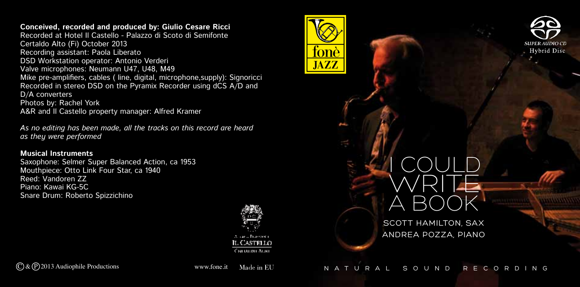**Conceived, recorded and produced by: Giulio Cesare Ricci**

Recorded at Hotel Il Castello - Palazzo di Scoto di Semifonte Certaldo Alto (Fi) October 2013 Recording assistant: Paola Liberato DSD Workstation operator: Antonio Verderi Valve microphones: Neumann U47, U48, M49 Mike pre-amplifiers, cables ( line, digital, microphone,supply): Signoricci Recorded in stereo DSD on the Pyramix Recorder using dCS A/D and D/A converters Photos by: Rachel York A&R and II Castello property manager: Alfred Kramer

*As no editing has been made, all the tracks on this record are heard as they were performed* 

## **Musical Instruments**

Saxophone: Selmer Super Balanced Action, ca 1953 Mouthpiece: Otto Link Four Star, ca 1940 Reed: Vandoren ZZ Piano: Kawai KG-5C Snare Drum: Roberto Spizzichino



, Castrilo Contactor Actor





A BOOK SCOTT HAMILTON, SAX Andrea Pozza, piano

I COULD

WRITE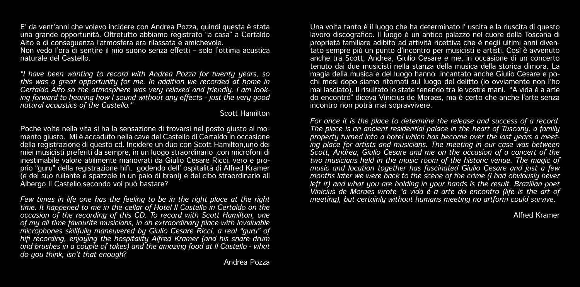E' da vent'anni che volevo incidere con Andrea Pozza, quindi questa è stata una grande opportunità. Oltretutto abbiamo registrato "a casa" a Certaldo Alto e di conseguenza l'atmosfera era rilassata e amichevole. Non vedo l'ora di sentire il mio suono senza effetti – solo l'ottima acustica naturale del Castello.

*"I have been wanting to record with Andrea Pozza for twenty years, so this was a great opportunity for me. In addition we recorded at home in Certaldo Alto so the atmosphere was very relaxed and friendly. I am looking forward to hearing how I sound without any effects - just the very good natural acoustics of the Castello."*

Scott Hamilton

Poche volte nella vita si ha la sensazione di trovarsi nel posto giusto al momento giusto. Mi è accaduto nella cave del Castello di Certaldo in occasione della registrazione di questo cd. Incidere un duo con Scott Hamilton,uno dei miei musicisti preferiti da sempre, in un luogo straordinario ,con microfoni di inestimabile valore abilmente manovrati da Giulio Cesare Ricci, vero e proprio "guru" della registrazione hifi, godendo dell' ospitalità di Alfred Kramer (e del suo rullante e spazzole in un paio di brani) e del cibo straordinario all Albergo Il Castello,secondo voi può bastare?

*Few times in life one has the feeling to be in the right place at the right time. It happened to me in the cellar of Hotel Il Castello in Certaldo on the occasion of the recording of this CD. To record with Scott Hamilton, one of my all time favourite musicians, in an extraordinary place with invaluable microphones skillfully maneuvered by Giulio Cesare Ricci, a real "guru" of hifi recording, enjoying the hospitality Alfred Kramer (and his snare drum and brushes in a couple of takes) and the amazing food at Il Castello - what do you think, isn't that enough?*

Una volta tanto è il luogo che ha determinato l' uscita e la riuscita di questo lavoro discografico. Il luogo è un antico palazzo nel cuore della Toscana di proprietà familiare adibito ad attività ricettiva che è negli ultimi anni diventato sempre più un punto d'incontro per musicisti e artisti. Così è avvenuto anche tra Scott, Andrea, Giulio Cesare e me, in occasione di un concerto tenuto dai due musicisti nella stanza della musica della storica dimora. La magia della musica e del luogo hanno incantato anche Giulio Cesare e pochi mesi dopo siamo ritornati sul luogo del delitto (io ovviamente non l'ho mai lasciato). Il risultato lo state tenendo tra le vostre mani. "A vida é a arte do encontro" diceva Vinicius de Moraes, ma è certo che anche l'arte senza incontro non potrà mai sopravvivere.

*For once it is the place to determine the release and success of a record. The place is an ancient residential palace in the heart of Tuscany, a family property turned into a hotel which has become over the last years a meeting place for artists and musicians. The meeting in our case was between Scott, Andrea, Giulio Cesare and me on the occasion of a concert of the two musicians held in the music room of the historic venue. The magic of music and location together has fascinated Giulio Cesare and just a few months later we were back to the scene of the crime (I had obviously never left it) and what you are holding in your hands is the result. Brazilian poet Vinicius de Moraes wrote "a vida é a arte do encontro (life is the art of meeting), but certainly without humans meeting no artform could survive.*

Alfred Kramer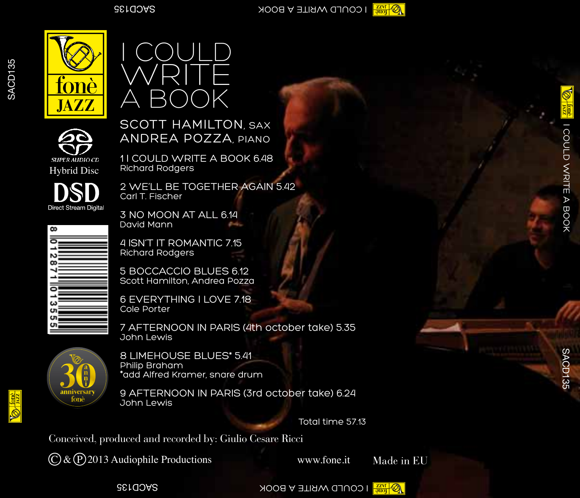

SACD135

SACD<sub>135</sub>





Scott Hamilton, sa x ANDREA POZZA, p

1 I COULD WRITE A BOOK 6.48 Richard Rodgers



2 WE'LL BE TOGETHER AGAIN 5.42 Carl T. Fischer

3 NO MOON AT ALL 6.14 David Mann



4 ISN'T IT ROMANTIC 7.15 Richard Rodgers

5 BOCCACCIO BLUES 6.12 Scott Hamilton, Andrea Pozza

6 EVERYTHING I LOVE 7.18 Cole Porter

7 AFTERNOON IN PARIS (4th october take) 5.35 John Lewis



8 LIMEHOUSE BLUES\* 5.41 \*add Alfred Kramer, snare drum

9 AFTERNOON IN PARIS (3rd october take) 6.24 John Lewis

Total time 57.13

Conceived, produced and recorded by: Giulio Cesare Ricci

 $\overline{C}$  &  $\overline{P}$  2013 Audiophile Productions

www.fone.it

Made in EU

**SACT AND AND A SACT A BOOK** I COULD WRITE A BOOK